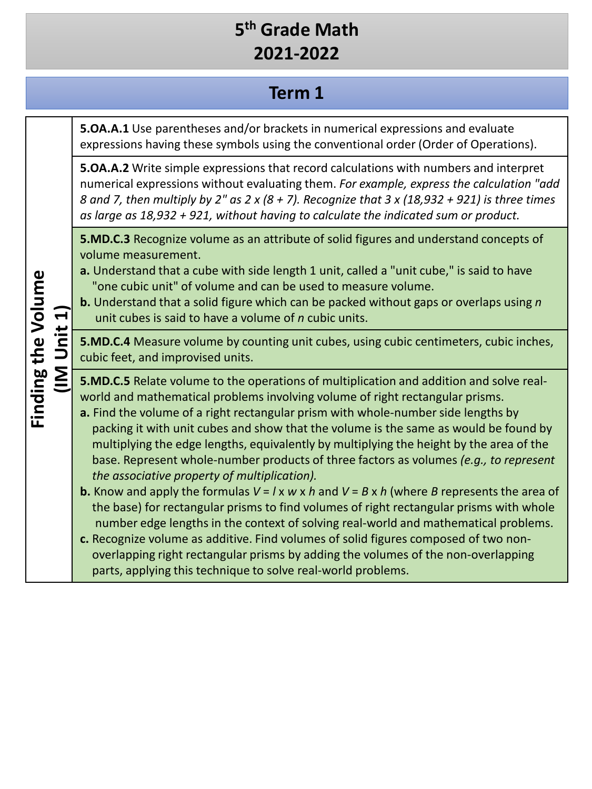## **Term 1**

|                    | $n$ it 1 $j$<br>$\overline{\underline{\underline{\mathsf{S}}}}$ | <b>5.OA.A.1</b> Use parentheses and/or brackets in numerical expressions and evaluate<br>expressions having these symbols using the conventional order (Order of Operations).                                                                                                                                                                                                                                                                                                                                                                                                                                                                                                                                                                                                                                                                                                                                                                                                                                                                                                   |
|--------------------|-----------------------------------------------------------------|---------------------------------------------------------------------------------------------------------------------------------------------------------------------------------------------------------------------------------------------------------------------------------------------------------------------------------------------------------------------------------------------------------------------------------------------------------------------------------------------------------------------------------------------------------------------------------------------------------------------------------------------------------------------------------------------------------------------------------------------------------------------------------------------------------------------------------------------------------------------------------------------------------------------------------------------------------------------------------------------------------------------------------------------------------------------------------|
| Finding the Volume |                                                                 | 5.0A.A.2 Write simple expressions that record calculations with numbers and interpret<br>numerical expressions without evaluating them. For example, express the calculation "add<br>8 and 7, then multiply by 2" as 2 x (8 + 7). Recognize that 3 x (18,932 + 921) is three times<br>as large as 18,932 + 921, without having to calculate the indicated sum or product.                                                                                                                                                                                                                                                                                                                                                                                                                                                                                                                                                                                                                                                                                                       |
|                    |                                                                 | <b>5.MD.C.3</b> Recognize volume as an attribute of solid figures and understand concepts of<br>volume measurement.<br>a. Understand that a cube with side length 1 unit, called a "unit cube," is said to have<br>"one cubic unit" of volume and can be used to measure volume.<br><b>b.</b> Understand that a solid figure which can be packed without gaps or overlaps using n<br>unit cubes is said to have a volume of <i>n</i> cubic units.                                                                                                                                                                                                                                                                                                                                                                                                                                                                                                                                                                                                                               |
|                    |                                                                 | 5.MD.C.4 Measure volume by counting unit cubes, using cubic centimeters, cubic inches,<br>cubic feet, and improvised units.                                                                                                                                                                                                                                                                                                                                                                                                                                                                                                                                                                                                                                                                                                                                                                                                                                                                                                                                                     |
|                    |                                                                 | 5.MD.C.5 Relate volume to the operations of multiplication and addition and solve real-<br>world and mathematical problems involving volume of right rectangular prisms.<br>a. Find the volume of a right rectangular prism with whole-number side lengths by<br>packing it with unit cubes and show that the volume is the same as would be found by<br>multiplying the edge lengths, equivalently by multiplying the height by the area of the<br>base. Represent whole-number products of three factors as volumes (e.g., to represent<br>the associative property of multiplication).<br><b>b.</b> Know and apply the formulas $V = I \times W \times h$ and $V = B \times h$ (where B represents the area of<br>the base) for rectangular prisms to find volumes of right rectangular prisms with whole<br>number edge lengths in the context of solving real-world and mathematical problems.<br>c. Recognize volume as additive. Find volumes of solid figures composed of two non-<br>overlapping right rectangular prisms by adding the volumes of the non-overlapping |
|                    |                                                                 | parts, applying this technique to solve real-world problems.                                                                                                                                                                                                                                                                                                                                                                                                                                                                                                                                                                                                                                                                                                                                                                                                                                                                                                                                                                                                                    |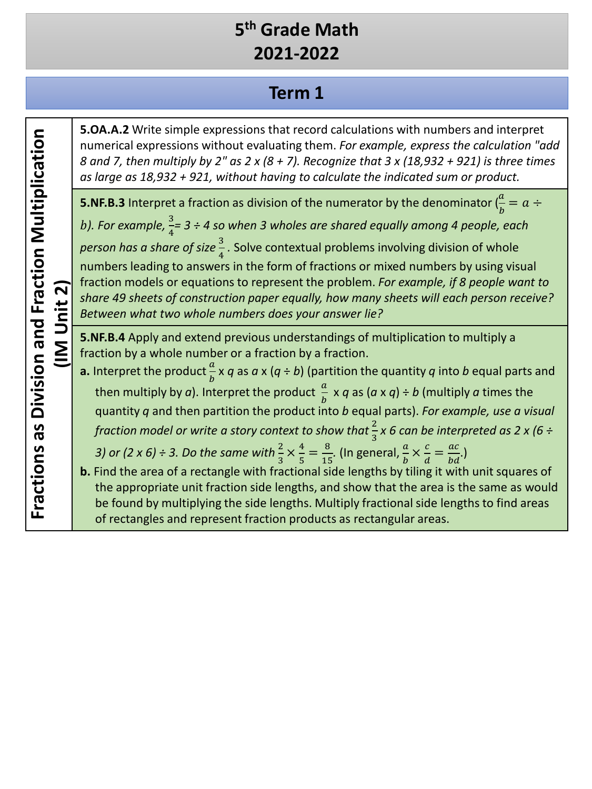#### **Term 1**

**5.OA.A.2** Write simple expressions that record calculations with numbers and interpret numerical expressions without evaluating them. *For example, express the calculation "add 8 and 7, then multiply by 2" as 2 x (8 + 7). Recognize that 3 x (18,932 + 921) is three times as large as 18,932 + 921, without having to calculate the indicated sum or product.*

**5.NF.B.3** Interpret a fraction as division of the numerator by the denominator  $(\frac{a}{b} = a \div \frac{a}{b})$ b). For example,  $\frac{3}{4}$  = 3 ÷ 4 so when 3 wholes are shared equally among 4 people, each *person has a share of size*  $\frac{3}{4}$ . Solve contextual problems involving division of whole numbers leading to answers in the form of fractions or mixed numbers by using visual fraction models or equations to represent the problem. *For example, if 8 people want to share 49 sheets of construction paper equally, how many sheets will each person receive? Between what two whole numbers does your answer lie?*

**5.NF.B.4** Apply and extend previous understandings of multiplication to multiply a fraction by a whole number or a fraction by a fraction.

- **a.** Interpret the product  $\frac{a}{b}$  x q as a x (q ÷ b) (partition the quantity q into b equal parts and then multiply by *a*). Interpret the product  $\frac{a}{b} \times q$  as  $(a \times q) \div b$  (multiply *a* times the quantity *q* and then partition the product into *b* equal parts). *For example, use a visual fraction model or write a story context to show that*  $\frac{2}{3}$  x 6 can be interpreted as 2 x (6 ÷ 3) or (2 x 6) ÷ 3. Do the same with  $\frac{2}{3} \times \frac{4}{5} = \frac{8}{15}$ . (In general,  $\frac{a}{b} \times \frac{c}{d} = \frac{ac}{bd}$ .)
- **b.** Find the area of a rectangle with fractional side lengths by tiling it with unit squares of the appropriate unit fraction side lengths, and show that the area is the same as would be found by multiplying the side lengths. Multiply fractional side lengths to find areas of rectangles and represent fraction products as rectangular areas.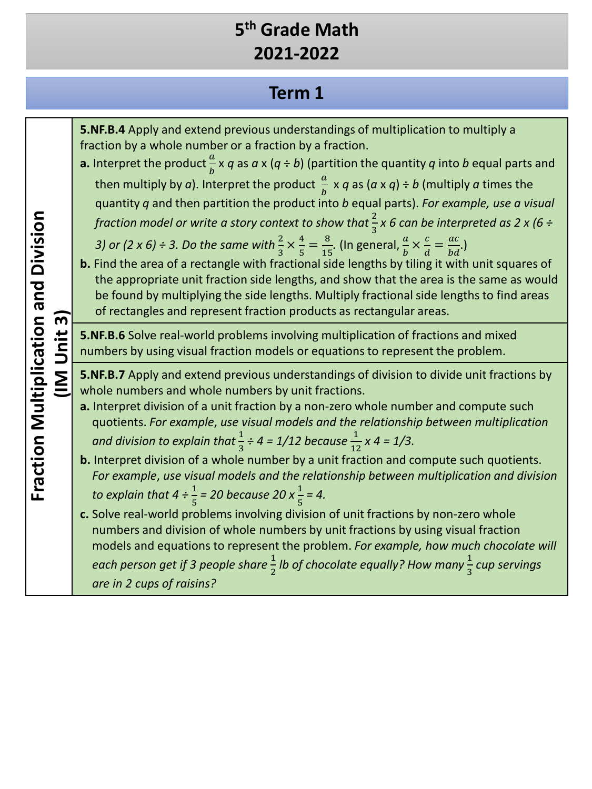## **Term 1**

| $\overline{3}$<br>Unit<br>$rac{2}{\pi}$ | 5. NF. B. 4 Apply and extend previous understandings of multiplication to multiply a<br>fraction by a whole number or a fraction by a fraction.<br><b>a.</b> Interpret the product $\frac{a}{b} \times q$ as $a \times (q \div b)$ (partition the quantity q into b equal parts and<br>then multiply by a). Interpret the product $\frac{a}{b} \times q$ as $(a \times q) \div b$ (multiply a times the<br>quantity q and then partition the product into b equal parts). For example, use a visual<br>fraction model or write a story context to show that $\frac{2}{3}x$ 6 can be interpreted as 2 x (6 ÷<br>3) or (2 x 6) ÷ 3. Do the same with $\frac{2}{3} \times \frac{4}{5} = \frac{8}{15}$ . (In general, $\frac{a}{b} \times \frac{c}{d} = \frac{ac}{bd}$ .)<br>b. Find the area of a rectangle with fractional side lengths by tiling it with unit squares of<br>the appropriate unit fraction side lengths, and show that the area is the same as would<br>be found by multiplying the side lengths. Multiply fractional side lengths to find areas<br>of rectangles and represent fraction products as rectangular areas. |  |  |
|-----------------------------------------|---------------------------------------------------------------------------------------------------------------------------------------------------------------------------------------------------------------------------------------------------------------------------------------------------------------------------------------------------------------------------------------------------------------------------------------------------------------------------------------------------------------------------------------------------------------------------------------------------------------------------------------------------------------------------------------------------------------------------------------------------------------------------------------------------------------------------------------------------------------------------------------------------------------------------------------------------------------------------------------------------------------------------------------------------------------------------------------------------------------------------------------|--|--|
|                                         | <b>5.NF.B.6</b> Solve real-world problems involving multiplication of fractions and mixed<br>numbers by using visual fraction models or equations to represent the problem.                                                                                                                                                                                                                                                                                                                                                                                                                                                                                                                                                                                                                                                                                                                                                                                                                                                                                                                                                           |  |  |
|                                         | 5.NF.B.7 Apply and extend previous understandings of division to divide unit fractions by<br>whole numbers and whole numbers by unit fractions.<br>a. Interpret division of a unit fraction by a non-zero whole number and compute such<br>quotients. For example, use visual models and the relationship between multiplication<br>and division to explain that $\frac{1}{3} \div 4 = 1/12$ because $\frac{1}{12}$ x 4 = 1/3.<br>b. Interpret division of a whole number by a unit fraction and compute such quotients.<br>For example, use visual models and the relationship between multiplication and division<br>to explain that $4 \div \frac{1}{5} = 20$ because 20 x $\frac{1}{5} = 4$ .<br>c. Solve real-world problems involving division of unit fractions by non-zero whole<br>numbers and division of whole numbers by unit fractions by using visual fraction                                                                                                                                                                                                                                                          |  |  |
|                                         | models and equations to represent the problem. For example, how much chocolate will<br>each person get if 3 people share $\frac{1}{2}$ lb of chocolate equally? How many $\frac{1}{3}$ cup servings<br>are in 2 cups of raisins?                                                                                                                                                                                                                                                                                                                                                                                                                                                                                                                                                                                                                                                                                                                                                                                                                                                                                                      |  |  |

Fraction Multiplication and Division **Fraction Multiplication and Division**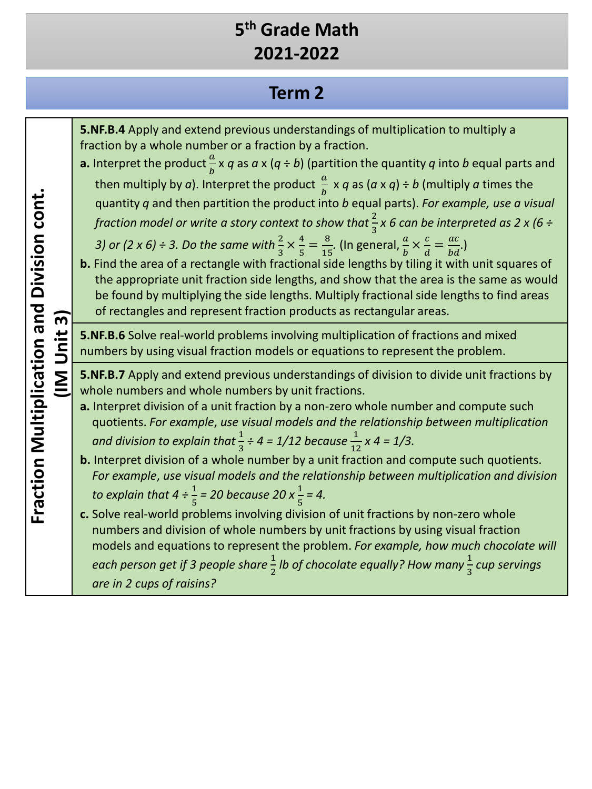## **Term 2**

| $\overline{3}$<br>Unit<br>$\sum_{i=1}^{n}$ | <b>5.NF.B.4</b> Apply and extend previous understandings of multiplication to multiply a<br>fraction by a whole number or a fraction by a fraction.<br><b>a.</b> Interpret the product $\frac{a}{b}$ x q as a x (q ÷ b) (partition the quantity q into b equal parts and<br>then multiply by a). Interpret the product $\frac{a}{b} \times q$ as $(a \times q) \div b$ (multiply a times the<br>quantity q and then partition the product into b equal parts). For example, use a visual<br>fraction model or write a story context to show that $\frac{2}{3}x$ 6 can be interpreted as 2 x (6 ÷<br>3) or (2 x 6) ÷ 3. Do the same with $\frac{2}{3} \times \frac{4}{5} = \frac{8}{15}$ . (In general, $\frac{a}{b} \times \frac{c}{d} = \frac{ac}{bd}$ .)<br>b. Find the area of a rectangle with fractional side lengths by tiling it with unit squares of<br>the appropriate unit fraction side lengths, and show that the area is the same as would<br>be found by multiplying the side lengths. Multiply fractional side lengths to find areas<br>of rectangles and represent fraction products as rectangular areas. |
|--------------------------------------------|----------------------------------------------------------------------------------------------------------------------------------------------------------------------------------------------------------------------------------------------------------------------------------------------------------------------------------------------------------------------------------------------------------------------------------------------------------------------------------------------------------------------------------------------------------------------------------------------------------------------------------------------------------------------------------------------------------------------------------------------------------------------------------------------------------------------------------------------------------------------------------------------------------------------------------------------------------------------------------------------------------------------------------------------------------------------------------------------------------------------------|
|                                            | 5.NF.B.6 Solve real-world problems involving multiplication of fractions and mixed<br>numbers by using visual fraction models or equations to represent the problem.                                                                                                                                                                                                                                                                                                                                                                                                                                                                                                                                                                                                                                                                                                                                                                                                                                                                                                                                                       |
|                                            | 5.NF.B.7 Apply and extend previous understandings of division to divide unit fractions by<br>whole numbers and whole numbers by unit fractions.<br>a. Interpret division of a unit fraction by a non-zero whole number and compute such<br>quotients. For example, use visual models and the relationship between multiplication<br>and division to explain that $\frac{1}{3} \div 4 = 1/12$ because $\frac{1}{12}$ x 4 = 1/3.                                                                                                                                                                                                                                                                                                                                                                                                                                                                                                                                                                                                                                                                                             |
|                                            | b. Interpret division of a whole number by a unit fraction and compute such quotients.<br>For example, use visual models and the relationship between multiplication and division<br>to explain that $4 \div \frac{1}{5} = 20$ because 20 x $\frac{1}{5} = 4$ .                                                                                                                                                                                                                                                                                                                                                                                                                                                                                                                                                                                                                                                                                                                                                                                                                                                            |
|                                            | c. Solve real-world problems involving division of unit fractions by non-zero whole<br>numbers and division of whole numbers by unit fractions by using visual fraction<br>models and equations to represent the problem. For example, how much chocolate will                                                                                                                                                                                                                                                                                                                                                                                                                                                                                                                                                                                                                                                                                                                                                                                                                                                             |
|                                            | each person get if 3 people share $\frac{1}{2}$ lb of chocolate equally? How many $\frac{1}{3}$ cup servings<br>are in 2 cups of raisins?                                                                                                                                                                                                                                                                                                                                                                                                                                                                                                                                                                                                                                                                                                                                                                                                                                                                                                                                                                                  |

Fraction Multiplication and Division cont. **Fraction Multiplication and Division cont.**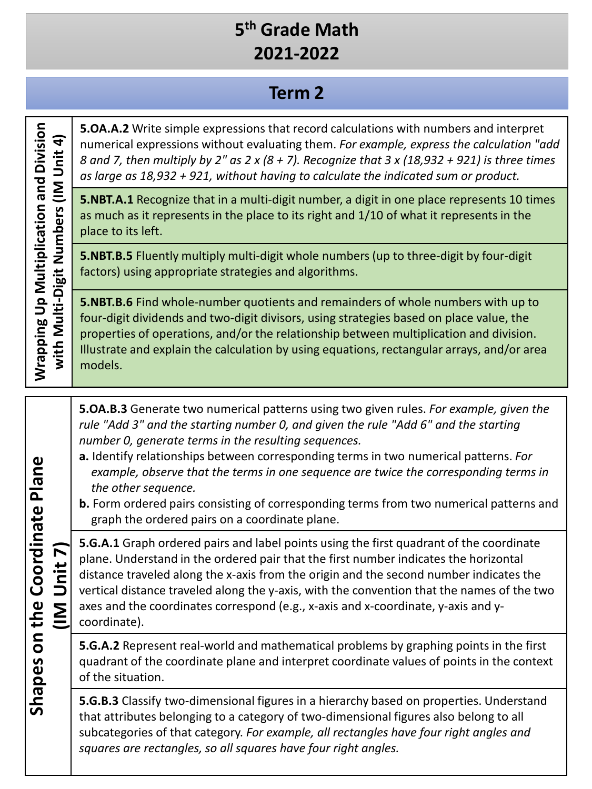#### **Term 2**

**Wrapping Up Multiplication and Division**  Wrapping Up Multiplication and Division **5.OA.A.2** Write simple expressions that record calculations with numbers and interpret with Multi-Digit Numbers (IM Unit 4) **with Multi-Digit Numbers (IM Unit 4)** numerical expressions without evaluating them. *For example, express the calculation "add 8 and 7, then multiply by 2" as 2 x (8 + 7). Recognize that 3 x (18,932 + 921) is three times as large as 18,932 + 921, without having to calculate the indicated sum or product.* **5.NBT.A.1** Recognize that in a multi-digit number, a digit in one place represents 10 times as much as it represents in the place to its right and 1/10 of what it represents in the place to its left. **5.NBT.B.5** Fluently multiply multi-digit whole numbers (up to three-digit by four-digit factors) using appropriate strategies and algorithms. models. *number 0, generate terms in the resulting sequences.* Shapes on the Coordinate Plane **Shapes on the Coordinate Plane** *the other sequence.* graph the ordered pairs on a coordinate plane. **(IM Unit 7)** (IM Unit 7) coordinate). of the situation.

**5.NBT.B.6** Find whole-number quotients and remainders of whole numbers with up to four-digit dividends and two-digit divisors, using strategies based on place value, the properties of operations, and/or the relationship between multiplication and division.

Illustrate and explain the calculation by using equations, rectangular arrays, and/or area

**5.OA.B.3** Generate two numerical patterns using two given rules. *For example, given the rule "Add 3" and the starting number 0, and given the rule "Add 6" and the starting* 

- **a.** Identify relationships between corresponding terms in two numerical patterns. *For example, observe that the terms in one sequence are twice the corresponding terms in*
- **b.** Form ordered pairs consisting of corresponding terms from two numerical patterns and

**5.G.A.1** Graph ordered pairs and label points using the first quadrant of the coordinate plane. Understand in the ordered pair that the first number indicates the horizontal distance traveled along the x-axis from the origin and the second number indicates the vertical distance traveled along the y-axis, with the convention that the names of the two axes and the coordinates correspond (e.g., x-axis and x-coordinate, y-axis and y-

**5.G.A.2** Represent real-world and mathematical problems by graphing points in the first quadrant of the coordinate plane and interpret coordinate values of points in the context

**5.G.B.3** Classify two-dimensional figures in a hierarchy based on properties. Understand that attributes belonging to a category of two-dimensional figures also belong to all subcategories of that category. *For example, all rectangles have four right angles and squares are rectangles, so all squares have four right angles.*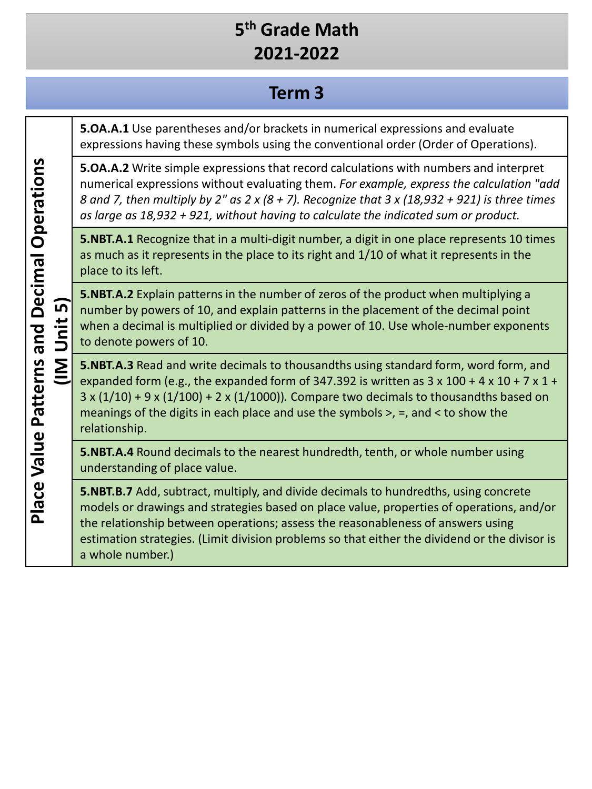#### **Term 3**

**5.OA.A.1** Use parentheses and/or brackets in numerical expressions and evaluate expressions having these symbols using the conventional order (Order of Operations).

**5.OA.A.2** Write simple expressions that record calculations with numbers and interpret numerical expressions without evaluating them. *For example, express the calculation "add 8 and 7, then multiply by 2" as 2 x (8 + 7). Recognize that 3 x (18,932 + 921) is three times as large as 18,932 + 921, without having to calculate the indicated sum or product.*

**5.NBT.A.1** Recognize that in a multi-digit number, a digit in one place represents 10 times as much as it represents in the place to its right and 1/10 of what it represents in the place to its left.

**5.NBT.A.2** Explain patterns in the number of zeros of the product when multiplying a number by powers of 10, and explain patterns in the placement of the decimal point when a decimal is multiplied or divided by a power of 10. Use whole-number exponents to denote powers of 10.

**5.NBT.A.3** Read and write decimals to thousandths using standard form, word form, and expanded form (e.g., the expanded form of 347.392 is written as  $3 \times 100 + 4 \times 10 + 7 \times 1 +$ 3 x (1/10) + 9 x (1/100) + 2 x (1/1000))*.* Compare two decimals to thousandths based on meanings of the digits in each place and use the symbols >, =, and < to show the relationship.

**5.NBT.A.4** Round decimals to the nearest hundredth, tenth, or whole number using understanding of place value.

**5.NBT.B.7** Add, subtract, multiply, and divide decimals to hundredths, using concrete models or drawings and strategies based on place value, properties of operations, and/or the relationship between operations; assess the reasonableness of answers using estimation strategies. (Limit division problems so that either the dividend or the divisor is a whole number.)

**Place Value Patterns and Decimal Operations Place Value Patterns and Decimal Operations (IM Unit 5)** <u>์ท</u> Unit  $\overline{\underline{\Sigma}}$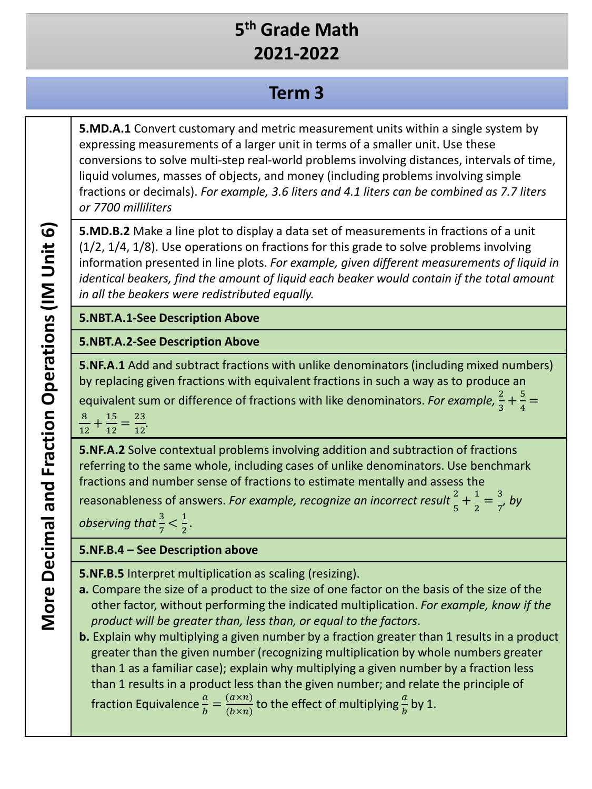#### **Term 3**

**5.MD.A.1** Convert customary and metric measurement units within a single system by expressing measurements of a larger unit in terms of a smaller unit. Use these conversions to solve multi-step real-world problems involving distances, intervals of time, liquid volumes, masses of objects, and money (including problems involving simple fractions or decimals). *For example, 3.6 liters and 4.1 liters can be combined as 7.7 liters or 7700 milliliters*

**5.MD.B.2** Make a line plot to display a data set of measurements in fractions of a unit (1/2, 1/4, 1/8). Use operations on fractions for this grade to solve problems involving information presented in line plots. *For example, given different measurements of liquid in identical beakers, find the amount of liquid each beaker would contain if the total amount in all the beakers were redistributed equally.*

#### **5.NBT.A.1-See Description Above**

#### **5.NBT.A.2-See Description Above**

**5.NF.A.1** Add and subtract fractions with unlike denominators (including mixed numbers) by replacing given fractions with equivalent fractions in such a way as to produce an equivalent sum or difference of fractions with like denominators. *For example*,  $\frac{2}{3} + \frac{5}{4} =$ 

8  $\frac{8}{12} + \frac{15}{12} = \frac{23}{12}.$ 

**5.NF.A.2** Solve contextual problems involving addition and subtraction of fractions referring to the same whole, including cases of unlike denominators. Use benchmark fractions and number sense of fractions to estimate mentally and assess the

reasonableness of answers. *For example, recognize an incorrect result*  $\frac{2}{5} + \frac{1}{2} = \frac{3}{7}$ , by

*observing that*  $\frac{3}{7} < \frac{1}{2}$ .

#### **5.NF.B.4 – See Description above**

**5.NF.B.5** Interpret multiplication as scaling (resizing).

**a.** Compare the size of a product to the size of one factor on the basis of the size of the other factor, without performing the indicated multiplication. *For example, know if the product will be greater than, less than, or equal to the factors*.

**b.** Explain why multiplying a given number by a fraction greater than 1 results in a product greater than the given number (recognizing multiplication by whole numbers greater than 1 as a familiar case); explain why multiplying a given number by a fraction less than 1 results in a product less than the given number; and relate the principle of fraction Equivalence  $\frac{a}{b} = \frac{(a \times n)}{(b \times n)}$  to the effect of multiplying  $\frac{a}{b}$  by 1.